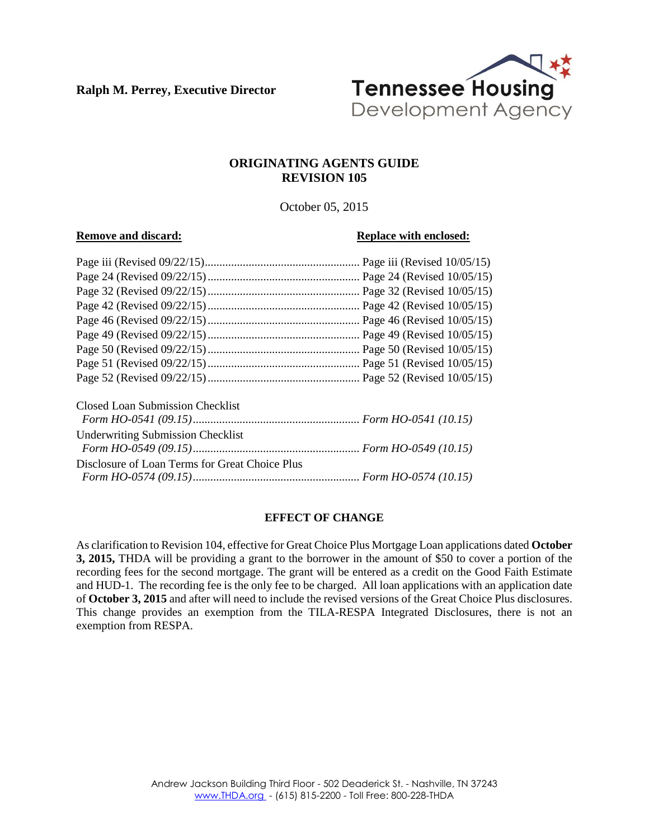**Ralph M. Perrey, Executive Director**



#### **ORIGINATING AGENTS GUIDE REVISION 105**

October 05, 2015

#### **Remove and discard: Replace with enclosed: Replace with enclosed:**

|                                                | Page iii (Revised $10/05/15$ ) |
|------------------------------------------------|--------------------------------|
|                                                |                                |
|                                                |                                |
|                                                |                                |
|                                                |                                |
|                                                |                                |
|                                                |                                |
|                                                |                                |
|                                                |                                |
| Closed Loan Submission Checklist               |                                |
|                                                |                                |
| <b>Underwriting Submission Checklist</b>       |                                |
|                                                |                                |
| Disclosure of Loan Terms for Great Choice Plus |                                |
|                                                |                                |

#### **EFFECT OF CHANGE**

As clarification to Revision 104, effective for Great Choice Plus Mortgage Loan applications dated **October 3, 2015,** THDA will be providing a grant to the borrower in the amount of \$50 to cover a portion of the recording fees for the second mortgage. The grant will be entered as a credit on the Good Faith Estimate and HUD-1. The recording fee is the only fee to be charged. All loan applications with an application date of **October 3, 2015** and after will need to include the revised versions of the Great Choice Plus disclosures. This change provides an exemption from the TILA-RESPA Integrated Disclosures, there is not an exemption from RESPA.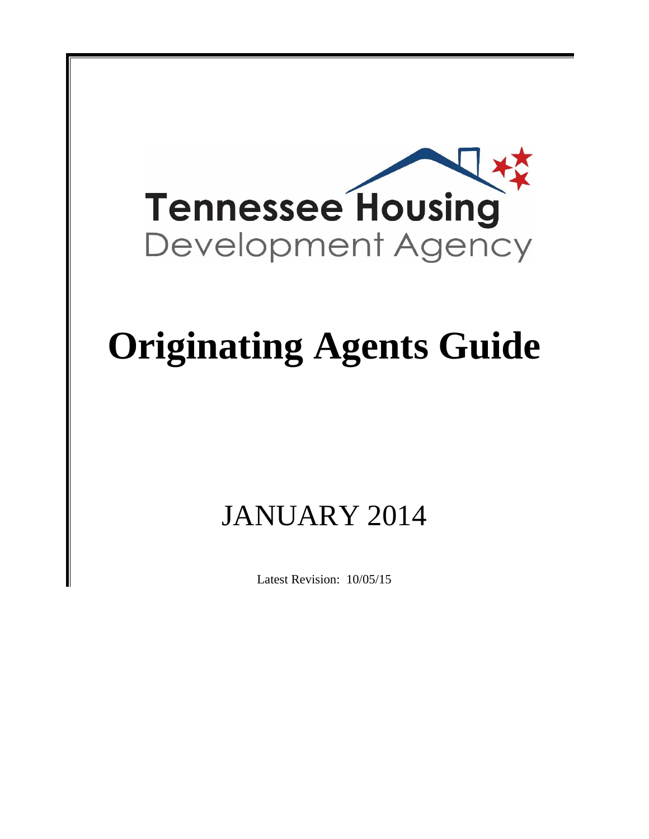

# **Originating Agents Guide**

## JANUARY 2014

Latest Revision: 10/05/15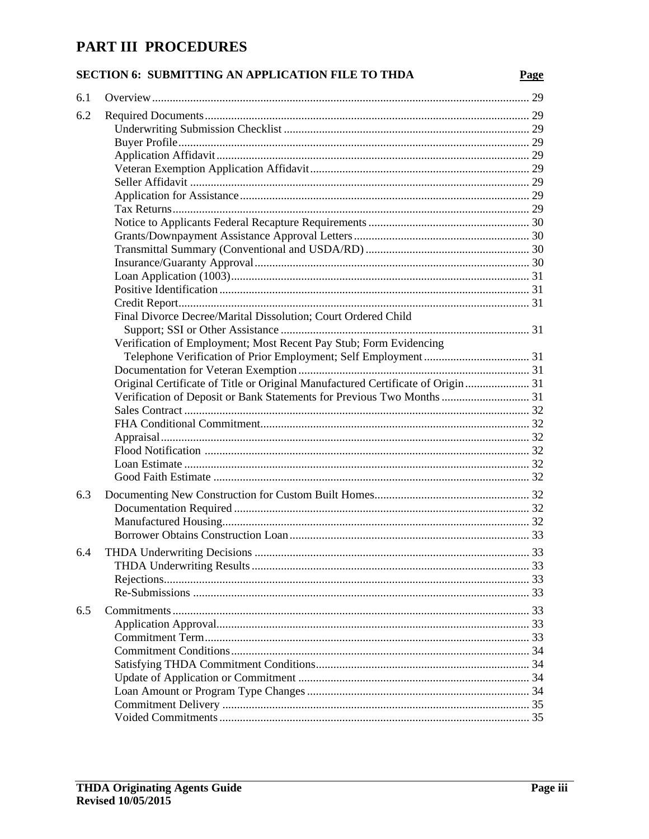### PART III PROCEDURES

#### SECTION 6: SUBMITTING AN APPLICATION FILE TO THDA

| 6.1 |                                                                                 |  |
|-----|---------------------------------------------------------------------------------|--|
| 6.2 |                                                                                 |  |
|     |                                                                                 |  |
|     |                                                                                 |  |
|     |                                                                                 |  |
|     |                                                                                 |  |
|     |                                                                                 |  |
|     |                                                                                 |  |
|     |                                                                                 |  |
|     |                                                                                 |  |
|     |                                                                                 |  |
|     |                                                                                 |  |
|     |                                                                                 |  |
|     |                                                                                 |  |
|     |                                                                                 |  |
|     |                                                                                 |  |
|     | Final Divorce Decree/Marital Dissolution; Court Ordered Child                   |  |
|     |                                                                                 |  |
|     | Verification of Employment; Most Recent Pay Stub; Form Evidencing               |  |
|     |                                                                                 |  |
|     |                                                                                 |  |
|     | Original Certificate of Title or Original Manufactured Certificate of Origin 31 |  |
|     | Verification of Deposit or Bank Statements for Previous Two Months  31          |  |
|     |                                                                                 |  |
|     |                                                                                 |  |
|     |                                                                                 |  |
|     |                                                                                 |  |
|     |                                                                                 |  |
|     |                                                                                 |  |
| 6.3 |                                                                                 |  |
|     |                                                                                 |  |
|     |                                                                                 |  |
|     |                                                                                 |  |
| 6.4 |                                                                                 |  |
|     |                                                                                 |  |
|     |                                                                                 |  |
|     |                                                                                 |  |
| 6.5 |                                                                                 |  |
|     |                                                                                 |  |
|     |                                                                                 |  |
|     |                                                                                 |  |
|     |                                                                                 |  |
|     |                                                                                 |  |
|     |                                                                                 |  |
|     |                                                                                 |  |
|     |                                                                                 |  |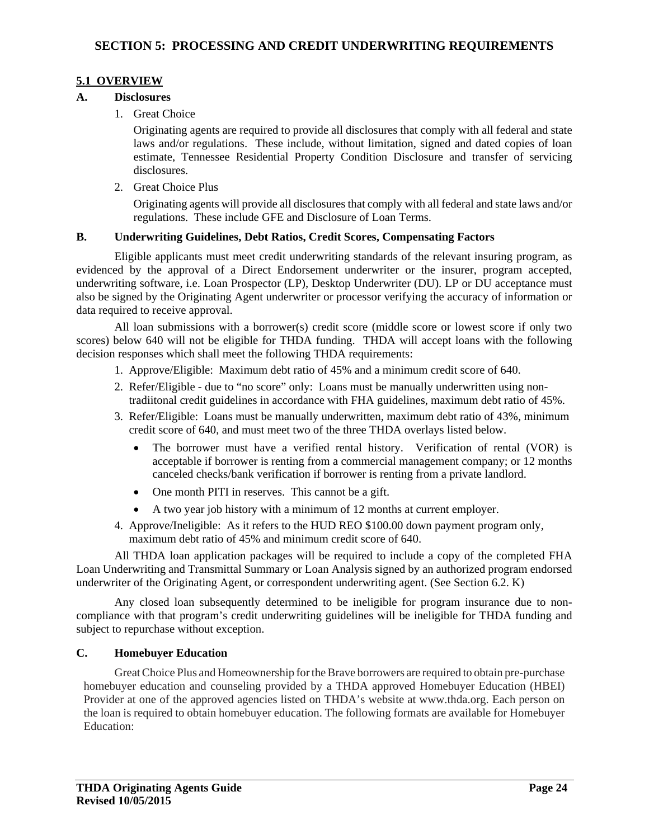#### **5.1 OVERVIEW**

#### **A. Disclosures**

1. Great Choice

Originating agents are required to provide all disclosures that comply with all federal and state laws and/or regulations. These include, without limitation, signed and dated copies of loan estimate, Tennessee Residential Property Condition Disclosure and transfer of servicing disclosures.

2. Great Choice Plus

Originating agents will provide all disclosures that comply with all federal and state laws and/or regulations. These include GFE and Disclosure of Loan Terms.

#### **B. Underwriting Guidelines, Debt Ratios, Credit Scores, Compensating Factors**

Eligible applicants must meet credit underwriting standards of the relevant insuring program, as evidenced by the approval of a Direct Endorsement underwriter or the insurer, program accepted, underwriting software, i.e. Loan Prospector (LP), Desktop Underwriter (DU). LP or DU acceptance must also be signed by the Originating Agent underwriter or processor verifying the accuracy of information or data required to receive approval.

All loan submissions with a borrower(s) credit score (middle score or lowest score if only two scores) below 640 will not be eligible for THDA funding. THDA will accept loans with the following decision responses which shall meet the following THDA requirements:

- 1. Approve/Eligible: Maximum debt ratio of 45% and a minimum credit score of 640.
- 2. Refer/Eligible due to "no score" only: Loans must be manually underwritten using non tradiitonal credit guidelines in accordance with FHA guidelines, maximum debt ratio of 45%.
- 3. Refer/Eligible: Loans must be manually underwritten, maximum debt ratio of 43%, minimum credit score of 640, and must meet two of the three THDA overlays listed below.
	- The borrower must have a verified rental history. Verification of rental (VOR) is acceptable if borrower is renting from a commercial management company; or 12 months canceled checks/bank verification if borrower is renting from a private landlord.
	- One month PITI in reserves. This cannot be a gift.
	- A two year job history with a minimum of 12 months at current employer.
- 4. Approve/Ineligible: As it refers to the HUD REO \$100.00 down payment program only, maximum debt ratio of 45% and minimum credit score of 640.

All THDA loan application packages will be required to include a copy of the completed FHA Loan Underwriting and Transmittal Summary or Loan Analysis signed by an authorized program endorsed underwriter of the Originating Agent, or correspondent underwriting agent. (See Section 6.2. K)

Any closed loan subsequently determined to be ineligible for program insurance due to noncompliance with that program's credit underwriting guidelines will be ineligible for THDA funding and subject to repurchase without exception.

#### **C. Homebuyer Education**

 Great Choice Plus and Homeownership for the Brave borrowers are required to obtain pre-purchase homebuyer education and counseling provided by a THDA approved Homebuyer Education (HBEI) Provider at one of the approved agencies listed on THDA's website at www.thda.org. Each person on the loan is required to obtain homebuyer education. The following formats are available for Homebuyer Education: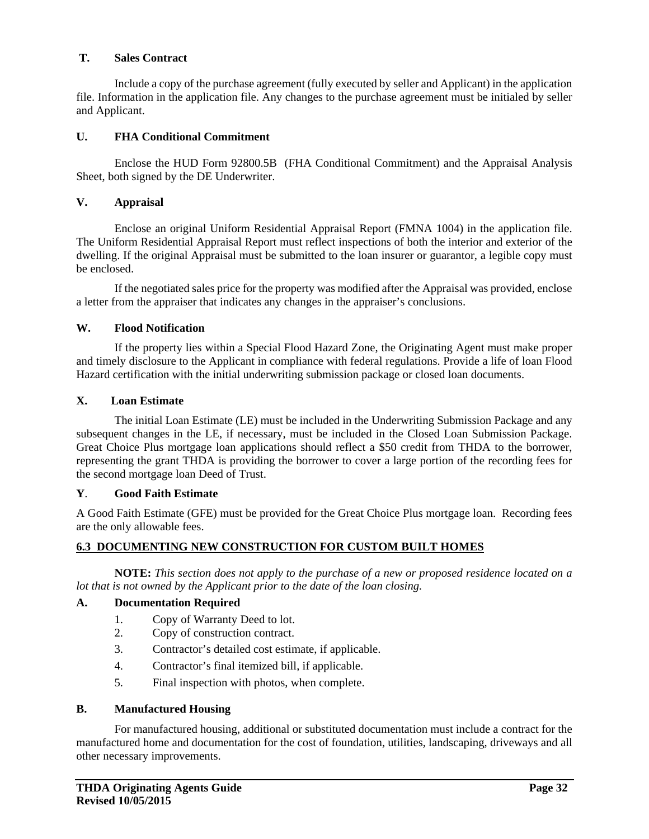#### **T. Sales Contract**

Include a copy of the purchase agreement (fully executed by seller and Applicant) in the application file. Information in the application file. Any changes to the purchase agreement must be initialed by seller and Applicant.

#### **U. FHA Conditional Commitment**

Enclose the HUD Form 92800.5B (FHA Conditional Commitment) and the Appraisal Analysis Sheet, both signed by the DE Underwriter.

#### **V. Appraisal**

Enclose an original Uniform Residential Appraisal Report (FMNA 1004) in the application file. The Uniform Residential Appraisal Report must reflect inspections of both the interior and exterior of the dwelling. If the original Appraisal must be submitted to the loan insurer or guarantor, a legible copy must be enclosed.

If the negotiated sales price for the property was modified after the Appraisal was provided, enclose a letter from the appraiser that indicates any changes in the appraiser's conclusions.

#### **W. Flood Notification**

If the property lies within a Special Flood Hazard Zone, the Originating Agent must make proper and timely disclosure to the Applicant in compliance with federal regulations. Provide a life of loan Flood Hazard certification with the initial underwriting submission package or closed loan documents.

#### **X. Loan Estimate**

 The initial Loan Estimate (LE) must be included in the Underwriting Submission Package and any subsequent changes in the LE, if necessary, must be included in the Closed Loan Submission Package. Great Choice Plus mortgage loan applications should reflect a \$50 credit from THDA to the borrower, representing the grant THDA is providing the borrower to cover a large portion of the recording fees for the second mortgage loan Deed of Trust.

#### **Y**. **Good Faith Estimate**

A Good Faith Estimate (GFE) must be provided for the Great Choice Plus mortgage loan. Recording fees are the only allowable fees.

#### **6.3 DOCUMENTING NEW CONSTRUCTION FOR CUSTOM BUILT HOMES**

**NOTE:** *This section does not apply to the purchase of a new or proposed residence located on a lot that is not owned by the Applicant prior to the date of the loan closing.* 

#### **A. Documentation Required**

- 1. Copy of Warranty Deed to lot.
- 2. Copy of construction contract.
- 3. Contractor's detailed cost estimate, if applicable.
- 4. Contractor's final itemized bill, if applicable.
- 5. Final inspection with photos, when complete.

#### **B. Manufactured Housing**

For manufactured housing, additional or substituted documentation must include a contract for the manufactured home and documentation for the cost of foundation, utilities, landscaping, driveways and all other necessary improvements.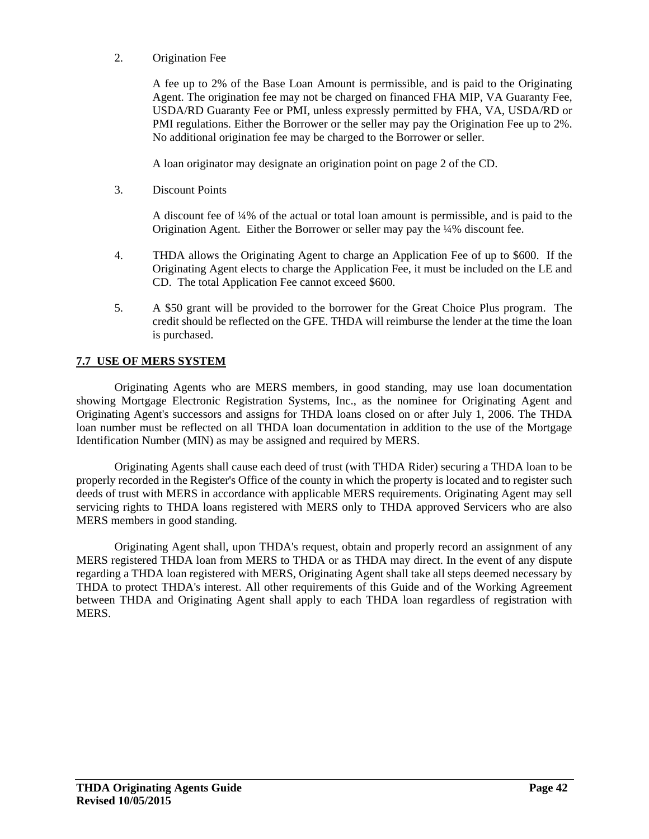2. Origination Fee

A fee up to 2% of the Base Loan Amount is permissible, and is paid to the Originating Agent. The origination fee may not be charged on financed FHA MIP, VA Guaranty Fee, USDA/RD Guaranty Fee or PMI, unless expressly permitted by FHA, VA, USDA/RD or PMI regulations. Either the Borrower or the seller may pay the Origination Fee up to 2%. No additional origination fee may be charged to the Borrower or seller.

A loan originator may designate an origination point on page 2 of the CD.

3. Discount Points

A discount fee of ¼% of the actual or total loan amount is permissible, and is paid to the Origination Agent. Either the Borrower or seller may pay the ¼% discount fee.

- 4. THDA allows the Originating Agent to charge an Application Fee of up to \$600. If the Originating Agent elects to charge the Application Fee, it must be included on the LE and CD. The total Application Fee cannot exceed \$600.
- 5. A \$50 grant will be provided to the borrower for the Great Choice Plus program. The credit should be reflected on the GFE. THDA will reimburse the lender at the time the loan is purchased.

#### **7.7 USE OF MERS SYSTEM**

Originating Agents who are MERS members, in good standing, may use loan documentation showing Mortgage Electronic Registration Systems, Inc., as the nominee for Originating Agent and Originating Agent's successors and assigns for THDA loans closed on or after July 1, 2006. The THDA loan number must be reflected on all THDA loan documentation in addition to the use of the Mortgage Identification Number (MIN) as may be assigned and required by MERS.

Originating Agents shall cause each deed of trust (with THDA Rider) securing a THDA loan to be properly recorded in the Register's Office of the county in which the property is located and to register such deeds of trust with MERS in accordance with applicable MERS requirements. Originating Agent may sell servicing rights to THDA loans registered with MERS only to THDA approved Servicers who are also MERS members in good standing.

Originating Agent shall, upon THDA's request, obtain and properly record an assignment of any MERS registered THDA loan from MERS to THDA or as THDA may direct. In the event of any dispute regarding a THDA loan registered with MERS, Originating Agent shall take all steps deemed necessary by THDA to protect THDA's interest. All other requirements of this Guide and of the Working Agreement between THDA and Originating Agent shall apply to each THDA loan regardless of registration with MERS.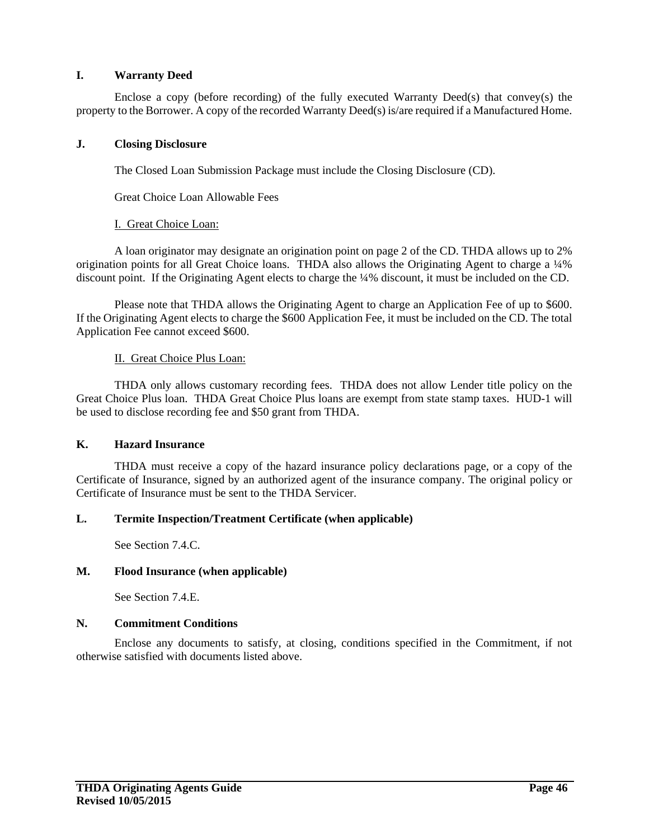#### **I. Warranty Deed**

Enclose a copy (before recording) of the fully executed Warranty Deed(s) that convey(s) the property to the Borrower. A copy of the recorded Warranty Deed(s) is/are required if a Manufactured Home.

#### **J. Closing Disclosure**

The Closed Loan Submission Package must include the Closing Disclosure (CD).

Great Choice Loan Allowable Fees

#### I. Great Choice Loan:

A loan originator may designate an origination point on page 2 of the CD. THDA allows up to 2% origination points for all Great Choice loans. THDA also allows the Originating Agent to charge a ¼% discount point. If the Originating Agent elects to charge the ¼% discount, it must be included on the CD.

Please note that THDA allows the Originating Agent to charge an Application Fee of up to \$600. If the Originating Agent elects to charge the \$600 Application Fee, it must be included on the CD. The total Application Fee cannot exceed \$600.

#### II. Great Choice Plus Loan:

THDA only allows customary recording fees. THDA does not allow Lender title policy on the Great Choice Plus loan. THDA Great Choice Plus loans are exempt from state stamp taxes. HUD-1 will be used to disclose recording fee and \$50 grant from THDA.

#### **K. Hazard Insurance**

THDA must receive a copy of the hazard insurance policy declarations page, or a copy of the Certificate of Insurance, signed by an authorized agent of the insurance company. The original policy or Certificate of Insurance must be sent to the THDA Servicer.

#### **L. Termite Inspection/Treatment Certificate (when applicable)**

See Section 7.4.C.

#### **M. Flood Insurance (when applicable)**

See Section 7.4.E.

#### **N. Commitment Conditions**

Enclose any documents to satisfy, at closing, conditions specified in the Commitment, if not otherwise satisfied with documents listed above.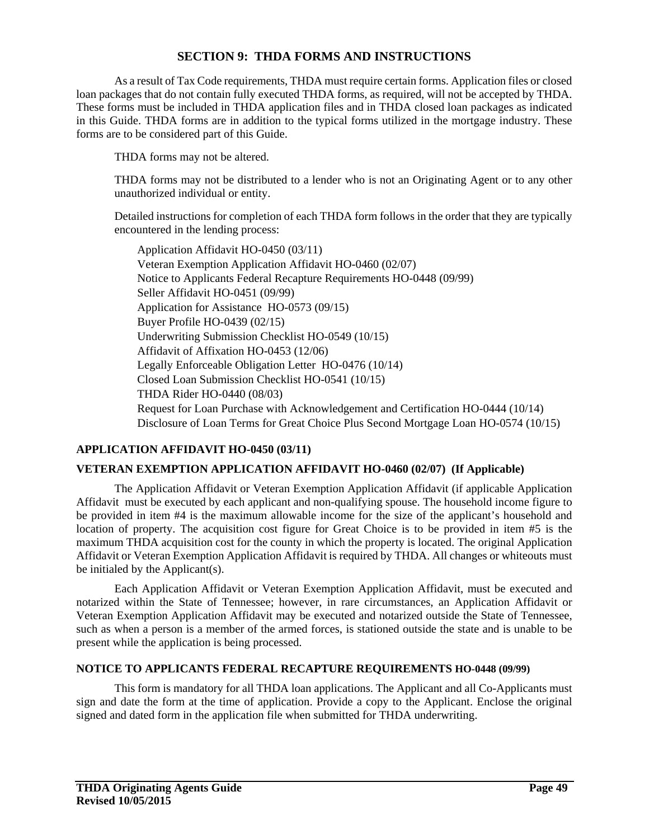#### **SECTION 9: THDA FORMS AND INSTRUCTIONS**

As a result of Tax Code requirements, THDA must require certain forms. Application files or closed loan packages that do not contain fully executed THDA forms, as required, will not be accepted by THDA. These forms must be included in THDA application files and in THDA closed loan packages as indicated in this Guide. THDA forms are in addition to the typical forms utilized in the mortgage industry. These forms are to be considered part of this Guide.

THDA forms may not be altered.

THDA forms may not be distributed to a lender who is not an Originating Agent or to any other unauthorized individual or entity.

Detailed instructions for completion of each THDA form follows in the order that they are typically encountered in the lending process:

Application Affidavit HO-0450 (03/11) Veteran Exemption Application Affidavit HO-0460 (02/07) Notice to Applicants Federal Recapture Requirements HO-0448 (09/99) Seller Affidavit HO-0451 (09/99) Application for Assistance HO-0573 (09/15) Buyer Profile HO-0439 (02/15) Underwriting Submission Checklist HO-0549 (10/15) Affidavit of Affixation HO-0453 (12/06) Legally Enforceable Obligation Letter HO-0476 (10/14) Closed Loan Submission Checklist HO-0541 (10/15) THDA Rider HO-0440 (08/03) Request for Loan Purchase with Acknowledgement and Certification HO-0444 (10/14) Disclosure of Loan Terms for Great Choice Plus Second Mortgage Loan HO-0574 (10/15)

#### **APPLICATION AFFIDAVIT HO-0450 (03/11)**

#### **VETERAN EXEMPTION APPLICATION AFFIDAVIT HO-0460 (02/07) (If Applicable)**

The Application Affidavit or Veteran Exemption Application Affidavit (if applicable Application Affidavit must be executed by each applicant and non-qualifying spouse. The household income figure to be provided in item #4 is the maximum allowable income for the size of the applicant's household and location of property. The acquisition cost figure for Great Choice is to be provided in item #5 is the maximum THDA acquisition cost for the county in which the property is located. The original Application Affidavit or Veteran Exemption Application Affidavit is required by THDA. All changes or whiteouts must be initialed by the Applicant(s).

Each Application Affidavit or Veteran Exemption Application Affidavit, must be executed and notarized within the State of Tennessee; however, in rare circumstances, an Application Affidavit or Veteran Exemption Application Affidavit may be executed and notarized outside the State of Tennessee, such as when a person is a member of the armed forces, is stationed outside the state and is unable to be present while the application is being processed.

#### **NOTICE TO APPLICANTS FEDERAL RECAPTURE REQUIREMENTS HO-0448 (09/99)**

This form is mandatory for all THDA loan applications. The Applicant and all Co-Applicants must sign and date the form at the time of application. Provide a copy to the Applicant. Enclose the original signed and dated form in the application file when submitted for THDA underwriting.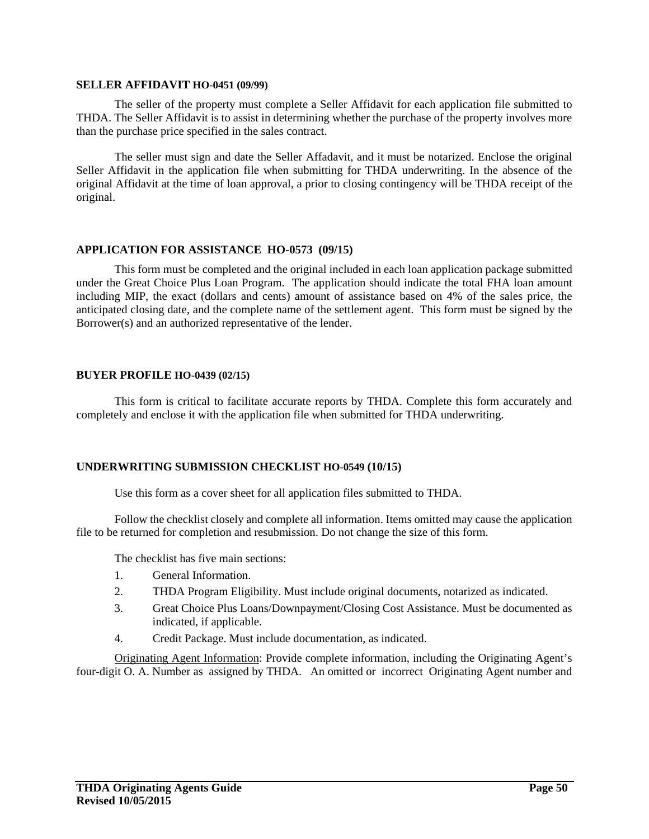#### **SELLER AFFIDAVIT HO-0451 (09/99)**

The seller of the property must complete a Seller Affidavit for each application file submitted to THDA. The Seller Affidavit is to assist in determining whether the purchase of the property involves more than the purchase price specified in the sales contract.

The seller must sign and date the Seller Affadavit, and it must be notarized. Enclose the original Seller Affidavit in the application file when submitting for THDA underwriting. In the absence of the original Affidavit at the time of loan approval, a prior to closing contingency will be THDA receipt of the original.

#### **APPLICATION FOR ASSISTANCE HO-0573 (09/15)**

This form must be completed and the original included in each loan application package submitted under the Great Choice Plus Loan Program. The application should indicate the total FHA loan amount including MIP, the exact (dollars and cents) amount of assistance based on 4% of the sales price, the anticipated closing date, and the complete name of the settlement agent. This form must be signed by the Borrower(s) and an authorized representative of the lender.

#### **BUYER PROFILE HO-0439 (02/15)**

This form is critical to facilitate accurate reports by THDA. Complete this form accurately and completely and enclose it with the application file when submitted for THDA underwriting.

#### **UNDERWRITING SUBMISSION CHECKLIST HO-0549 (10/15)**

Use this form as a cover sheet for all application files submitted to THDA.

Follow the checklist closely and complete all information. Items omitted may cause the application file to be returned for completion and resubmission. Do not change the size of this form.

The checklist has five main sections:

- 1. General Information.
- 2. THDA Program Eligibility. Must include original documents, notarized as indicated.
- 3. Great Choice Plus Loans/Downpayment/Closing Cost Assistance. Must be documented as indicated, if applicable.
- 4. Credit Package. Must include documentation, as indicated.

Originating Agent Information: Provide complete information, including the Originating Agent's four-digit O. A. Number as assigned by THDA. An omitted or incorrect Originating Agent number and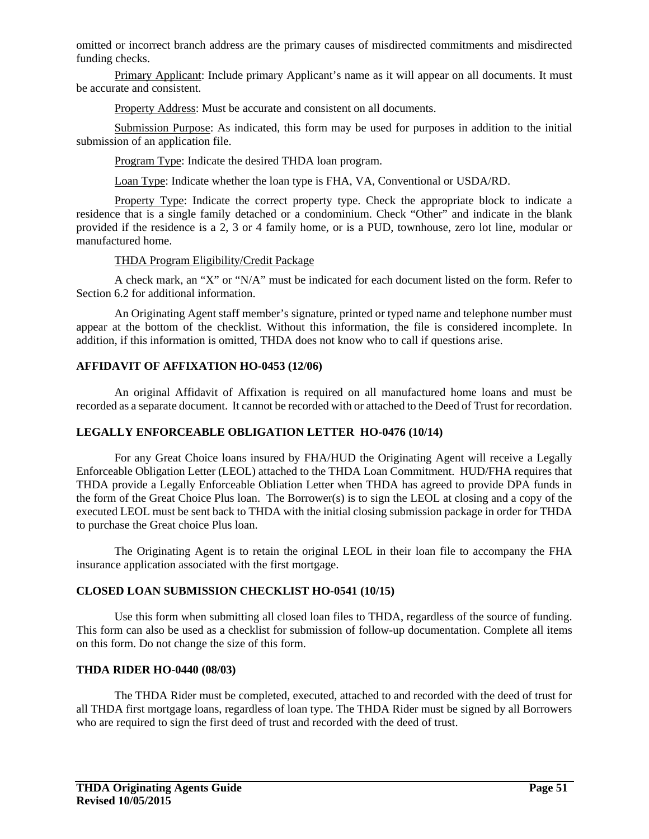omitted or incorrect branch address are the primary causes of misdirected commitments and misdirected funding checks.

Primary Applicant: Include primary Applicant's name as it will appear on all documents. It must be accurate and consistent.

Property Address: Must be accurate and consistent on all documents.

Submission Purpose: As indicated, this form may be used for purposes in addition to the initial submission of an application file.

Program Type: Indicate the desired THDA loan program.

Loan Type: Indicate whether the loan type is FHA, VA, Conventional or USDA/RD.

Property Type: Indicate the correct property type. Check the appropriate block to indicate a residence that is a single family detached or a condominium. Check "Other" and indicate in the blank provided if the residence is a 2, 3 or 4 family home, or is a PUD, townhouse, zero lot line, modular or manufactured home.

#### THDA Program Eligibility/Credit Package

A check mark, an "X" or "N/A" must be indicated for each document listed on the form. Refer to Section 6.2 for additional information.

An Originating Agent staff member's signature, printed or typed name and telephone number must appear at the bottom of the checklist. Without this information, the file is considered incomplete. In addition, if this information is omitted, THDA does not know who to call if questions arise.

#### **AFFIDAVIT OF AFFIXATION HO-0453 (12/06)**

An original Affidavit of Affixation is required on all manufactured home loans and must be recorded as a separate document. It cannot be recorded with or attached to the Deed of Trust for recordation.

#### **LEGALLY ENFORCEABLE OBLIGATION LETTER HO-0476 (10/14)**

For any Great Choice loans insured by FHA/HUD the Originating Agent will receive a Legally Enforceable Obligation Letter (LEOL) attached to the THDA Loan Commitment. HUD/FHA requires that THDA provide a Legally Enforceable Obliation Letter when THDA has agreed to provide DPA funds in the form of the Great Choice Plus loan. The Borrower(s) is to sign the LEOL at closing and a copy of the executed LEOL must be sent back to THDA with the initial closing submission package in order for THDA to purchase the Great choice Plus loan.

The Originating Agent is to retain the original LEOL in their loan file to accompany the FHA insurance application associated with the first mortgage.

#### **CLOSED LOAN SUBMISSION CHECKLIST HO-0541 (10/15)**

Use this form when submitting all closed loan files to THDA, regardless of the source of funding. This form can also be used as a checklist for submission of follow-up documentation. Complete all items on this form. Do not change the size of this form.

#### **THDA RIDER HO-0440 (08/03)**

The THDA Rider must be completed, executed, attached to and recorded with the deed of trust for all THDA first mortgage loans, regardless of loan type. The THDA Rider must be signed by all Borrowers who are required to sign the first deed of trust and recorded with the deed of trust.